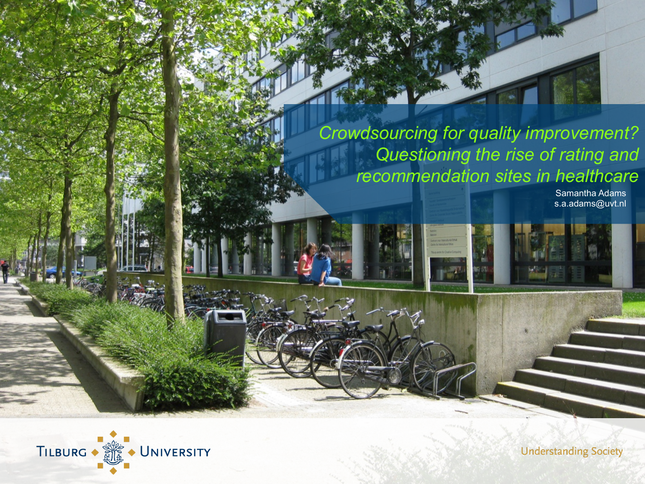*Crowdsourcing for quality improvement? Questioning the rise of rating and recommendation sites in healthcare*

Samantha Adams s.a.adams@uvt.nl



**Understanding Society**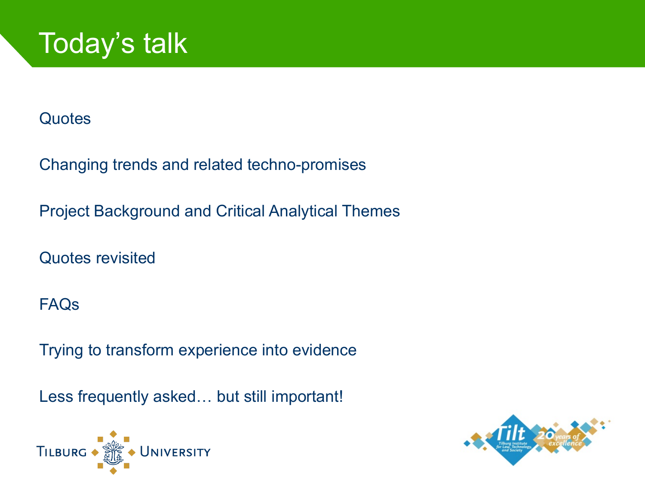

#### **Quotes**

Changing trends and related techno-promises

Project Background and Critical Analytical Themes

Quotes revisited

#### FAQs

Trying to transform experience into evidence

Less frequently asked… but still important!



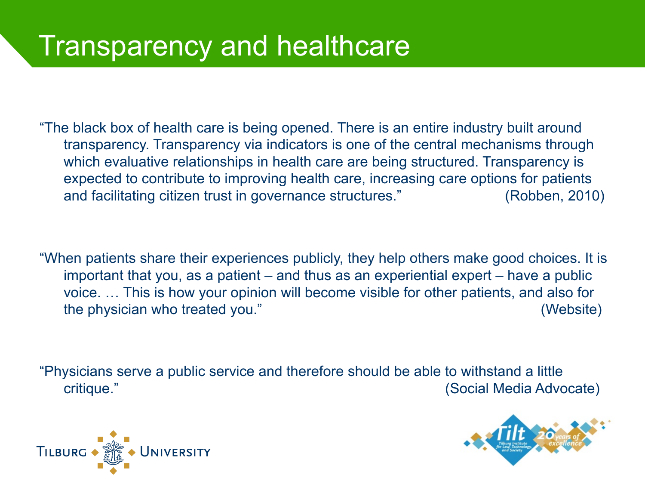## Transparency and healthcare

"The black box of health care is being opened. There is an entire industry built around transparency. Transparency via indicators is one of the central mechanisms through which evaluative relationships in health care are being structured. Transparency is expected to contribute to improving health care, increasing care options for patients and facilitating citizen trust in governance structures." (Robben, 2010)

"When patients share their experiences publicly, they help others make good choices. It is important that you, as a patient – and thus as an experiential expert – have a public voice. … This is how your opinion will become visible for other patients, and also for the physician who treated you." (Website)

"Physicians serve a public service and therefore should be able to withstand a little critique." (Social Media Advocate)



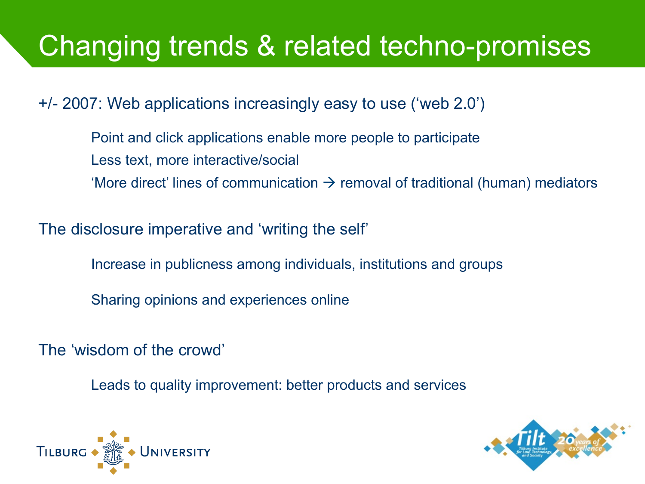## Changing trends & related techno-promises

+/- 2007: Web applications increasingly easy to use ('web 2.0')

Point and click applications enable more people to participate Less text, more interactive/social 'More direct' lines of communication  $\rightarrow$  removal of traditional (human) mediators

The disclosure imperative and 'writing the self'

Increase in publicness among individuals, institutions and groups

Sharing opinions and experiences online

The 'wisdom of the crowd'

Leads to quality improvement: better products and services



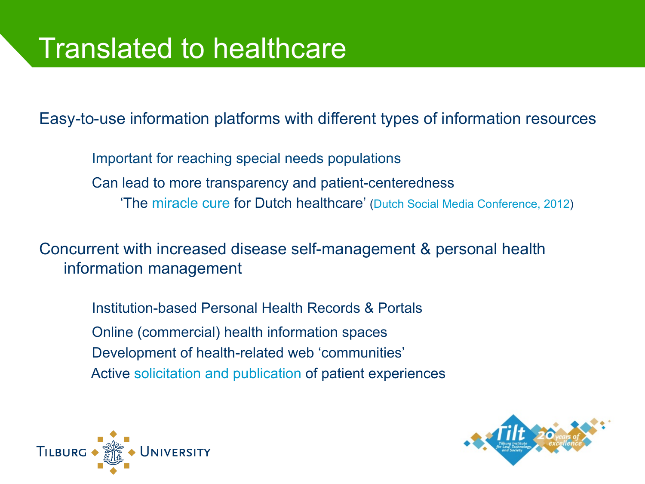Easy-to-use information platforms with different types of information resources

Important for reaching special needs populations Can lead to more transparency and patient-centeredness 'The miracle cure for Dutch healthcare' (Dutch Social Media Conference, 2012)

Concurrent with increased disease self-management & personal health information management

Institution-based Personal Health Records & Portals Online (commercial) health information spaces Development of health-related web 'communities' Active solicitation and publication of patient experiences



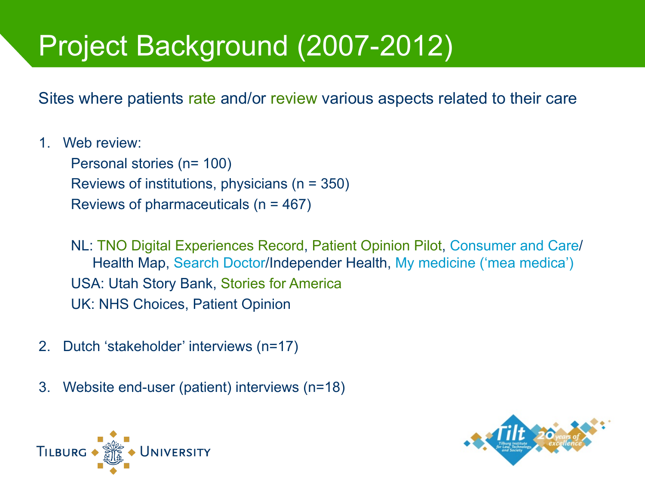# Project Background (2007-2012)

Sites where patients rate and/or review various aspects related to their care

1. Web review:

Personal stories (n= 100) Reviews of institutions, physicians (n = 350) Reviews of pharmaceuticals (n = 467)

NL: TNO Digital Experiences Record, Patient Opinion Pilot, Consumer and Care/ Health Map, Search Doctor/Independer Health, My medicine ('mea medica') USA: Utah Story Bank, Stories for America UK: NHS Choices, Patient Opinion

- 2. Dutch 'stakeholder' interviews (n=17)
- 3. Website end-user (patient) interviews (n=18)



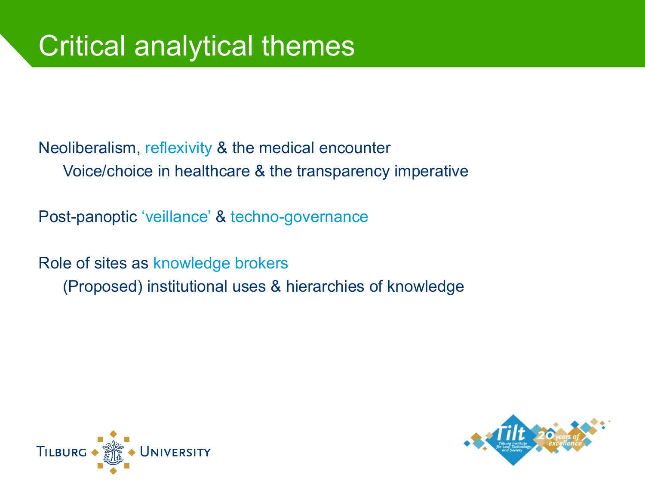Neoliberalism, reflexivity & the medical encounter Voice/choice in healthcare & the transparency imperative

Post-panoptic 'veillance' & techno-governance

Role of sites as knowledge brokers (Proposed) institutional uses & hierarchies of knowledge



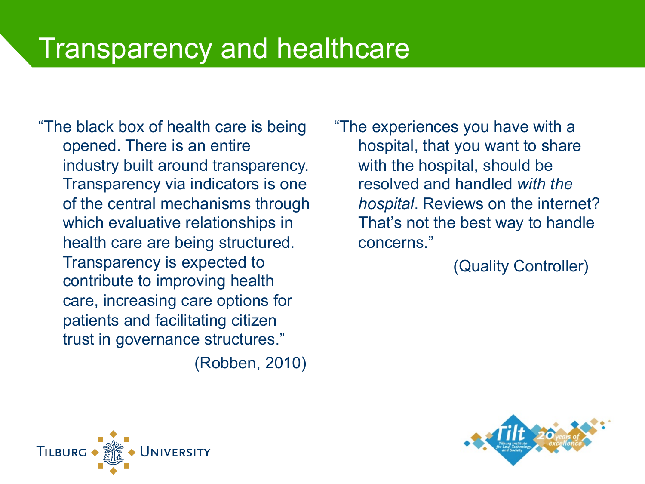### Transparency and healthcare

"The black box of health care is being opened. There is an entire industry built around transparency. Transparency via indicators is one of the central mechanisms through which evaluative relationships in health care are being structured. Transparency is expected to contribute to improving health care, increasing care options for patients and facilitating citizen trust in governance structures."

(Robben, 2010)

"The experiences you have with a hospital, that you want to share with the hospital, should be resolved and handled *with the hospital*. Reviews on the internet? That's not the best way to handle concerns."

(Quality Controller)



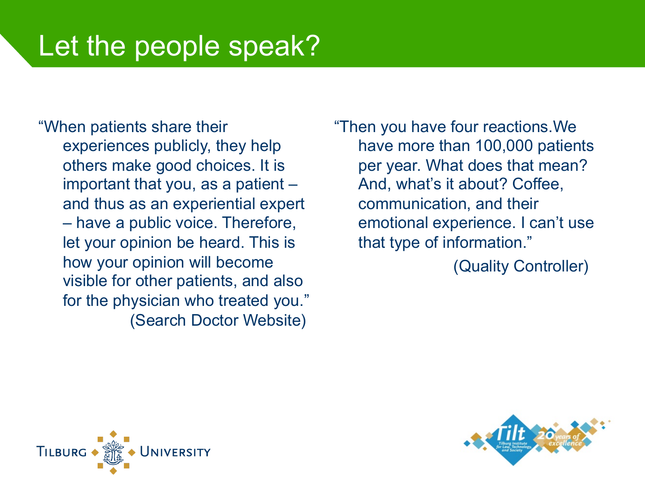## Let the people speak?

"When patients share their experiences publicly, they help others make good choices. It is important that you, as a patient – and thus as an experiential expert – have a public voice. Therefore, let your opinion be heard. This is how your opinion will become visible for other patients, and also for the physician who treated you." (Search Doctor Website)

"Then you have four reactions.We have more than 100,000 patients per year. What does that mean? And, what's it about? Coffee, communication, and their emotional experience. I can't use that type of information."

(Quality Controller)



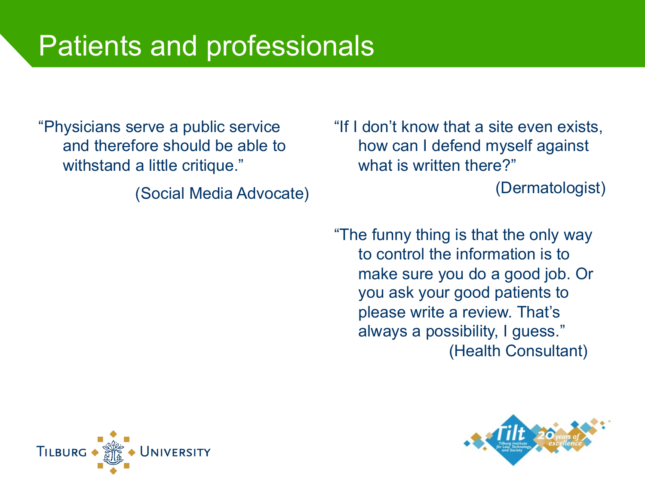### Patients and professionals

"Physicians serve a public service and therefore should be able to withstand a little critique."

(Social Media Advocate)

"If I don't know that a site even exists, how can I defend myself against what is written there?"

(Dermatologist)

"The funny thing is that the only way to control the information is to make sure you do a good job. Or you ask your good patients to please write a review. That's always a possibility, I guess." (Health Consultant)



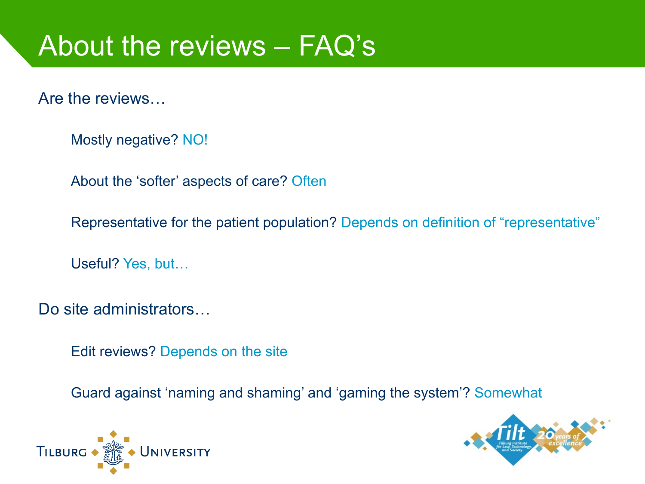## About the reviews – FAQ's

Are the reviews…

Mostly negative? NO!

About the 'softer' aspects of care? Often

Representative for the patient population? Depends on definition of "representative"

Useful? Yes, but…

Do site administrators...

Edit reviews? Depends on the site

Guard against 'naming and shaming' and 'gaming the system'? Somewhat



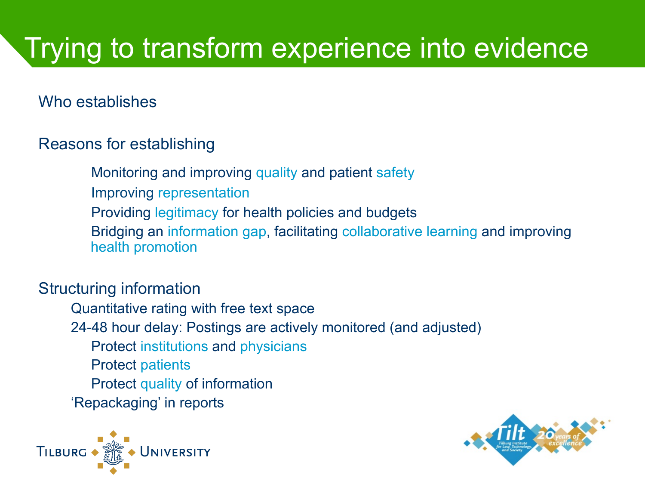# Trying to transform experience into evidence

Who establishes

#### Reasons for establishing

Monitoring and improving quality and patient safety

Improving representation

Providing legitimacy for health policies and budgets

Bridging an information gap, facilitating collaborative learning and improving health promotion

#### Structuring information

Quantitative rating with free text space 24-48 hour delay: Postings are actively monitored (and adjusted) Protect institutions and physicians Protect patients Protect quality of information 'Repackaging' in reports



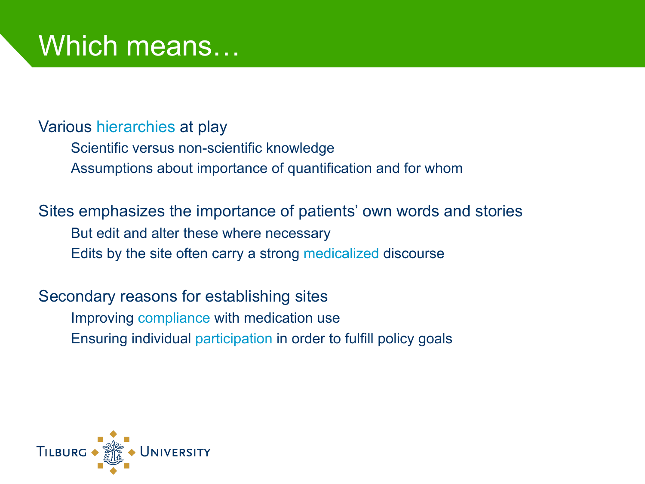## Which means...

Various hierarchies at play

Scientific versus non-scientific knowledge Assumptions about importance of quantification and for whom

Sites emphasizes the importance of patients' own words and stories But edit and alter these where necessary Edits by the site often carry a strong medicalized discourse

Secondary reasons for establishing sites Improving compliance with medication use Ensuring individual participation in order to fulfill policy goals

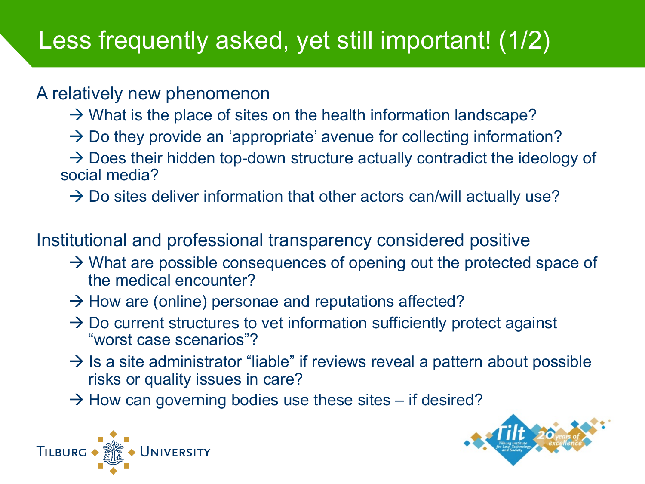### Less frequently asked, yet still important! (1/2)

#### A relatively new phenomenon

- $\rightarrow$  What is the place of sites on the health information landscape?
- $\rightarrow$  Do they provide an 'appropriate' avenue for collecting information?

 $\rightarrow$  Does their hidden top-down structure actually contradict the ideology of social media?

 $\rightarrow$  Do sites deliver information that other actors can/will actually use?

Institutional and professional transparency considered positive

- $\rightarrow$  What are possible consequences of opening out the protected space of the medical encounter?
- $\rightarrow$  How are (online) personae and reputations affected?
- $\rightarrow$  Do current structures to vet information sufficiently protect against "worst case scenarios"?
- $\rightarrow$  Is a site administrator "liable" if reviews reveal a pattern about possible risks or quality issues in care?
- $\rightarrow$  How can governing bodies use these sites if desired?